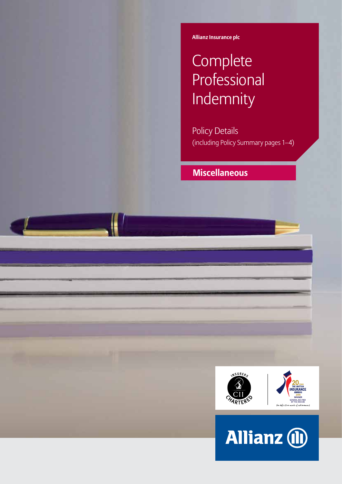**Allianz Insurance plc**

# **Complete** Professional Indemnity

Policy Details (including Policy Summary pages 1–4)

## **Miscellaneous**



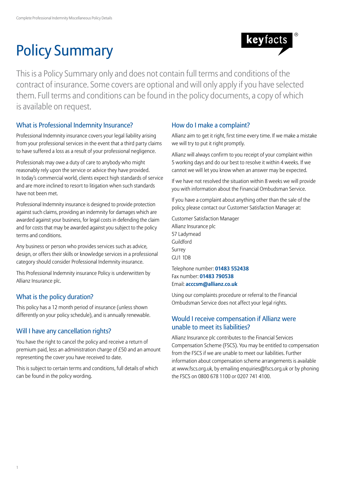# Policy Summary



This is a Policy Summary only and does not contain full terms and conditions of the contract of insurance. Some covers are optional and will only apply if you have selected them. Full terms and conditions can be found in the policy documents, a copy of which is available on request.

## What is Professional Indemnity Insurance?

Professional Indemnity insurance covers your legal liability arising from your professional services in the event that a third party claims to have suffered a loss as a result of your professional negligence.

Professionals may owe a duty of care to anybody who might reasonably rely upon the service or advice they have provided. In today's commercial world, clients expect high standards of service and are more inclined to resort to litigation when such standards have not been met.

Professional Indemnity insurance is designed to provide protection against such claims, providing an indemnity for damages which are awarded against your business, for legal costs in defending the claim and for costs that may be awarded against you subject to the policy terms and conditions.

Any business or person who provides services such as advice, design, or offers their skills or knowledge services in a professional category should consider Professional Indemnity insurance.

This Professional Indemnity insurance Policy is underwritten by Allianz Insurance plc.

## What is the policy duration?

This policy has a 12 month period of insurance (unless shown differently on your policy schedule), and is annually renewable.

## Will I have any cancellation rights?

You have the right to cancel the policy and receive a return of premium paid, less an administration charge of £50 and an amount representing the cover you have received to date.

This is subject to certain terms and conditions, full details of which can be found in the policy wording.

## How do I make a complaint?

Allianz aim to get it right, first time every time. If we make a mistake we will try to put it right promptly.

Allianz will always confirm to you receipt of your complaint within 5 working days and do our best to resolve it within 4 weeks. If we cannot we will let you know when an answer may be expected.

If we have not resolved the situation within 8 weeks we will provide you with information about the Financial Ombudsman Service.

If you have a complaint about anything other than the sale of the policy, please contact our Customer Satisfaction Manager at:

Customer Satisfaction Manager Allianz Insurance plc 57 Ladymead Guildford Surrey GU1 1DB

Telephone number: **01483 552438** Fax number: **01483 790538** Email: **acccsm@allianz.co.uk**

Using our complaints procedure or referral to the Financial Ombudsman Service does not affect your legal rights.

## Would I receive compensation if Allianz were unable to meet its liabilities?

Allianz Insurance plc contributes to the Financial Services Compensation Scheme (FSCS). You may be entitled to compensation from the FSCS if we are unable to meet our liabilities. Further information about compensation scheme arrangements is available at www.fscs.org.uk, by emailing enquiries@fscs.org.uk or by phoning the FSCS on 0800 678 1100 or 0207 741 4100.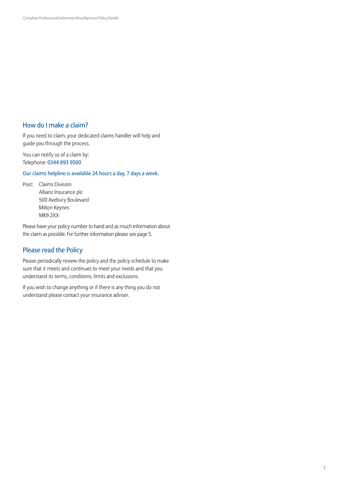## How do I make a claim?

If you need to claim, your dedicated claims handler will help and guide you through the process.

You can notify us of a claim by: Telephone: 0344 893 9500

Our claims helpline is available 24 hours a day, 7 days a week.

Post: Claims Division Allianz Insurance plc 500 Avebury Boulevard Milton Keynes MK9 2XX

Please have your policy number to hand and as much information about the claim as possible. For further information please see page 5.

## Please read the Policy

Please periodically review the policy and the policy schedule to make sure that it meets and continues to meet your needs and that you understand its terms, conditions, limits and exclusions.

If you wish to change anything or if there is any thing you do not understand please contact your insurance adviser.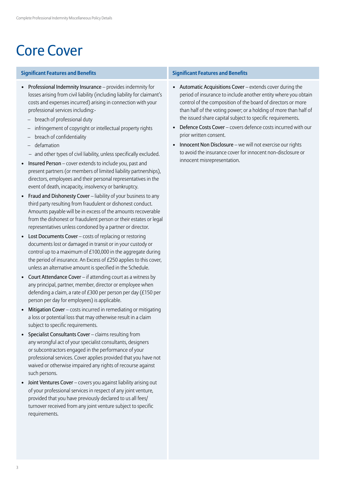# Core Cover

## **Significant Features and Benefits Significant Features and Benefits**

- Professional Indemnity Insurance provides indemnity for losses arising from civil liability (including liability for claimant's costs and expenses incurred) arising in connection with your professional services including:-
	- breach of professional duty
	- infringement of copyright or intellectual property rights
	- breach of confidentiality
	- defamation
	- and other types of civil liability, unless specifically excluded.
- Insured Person cover extends to include you, past and present partners (or members of limited liability partnerships), directors, employees and their personal representatives in the event of death, incapacity, insolvency or bankruptcy.
- Fraud and Dishonesty Cover liability of your business to any third party resulting from fraudulent or dishonest conduct. Amounts payable will be in excess of the amounts recoverable from the dishonest or fraudulent person or their estates or legal representatives unless condoned by a partner or director.
- Lost Documents Cover costs of replacing or restoring documents lost or damaged in transit or in your custody or control up to a maximum of £100,000 in the aggregate during the period of insurance. An Excess of £250 applies to this cover, unless an alternative amount is specified in the Schedule.
- Court Attendance Cover if attending court as a witness by any principal, partner, member, director or employee when defending a claim, a rate of £300 per person per day (£150 per person per day for employees) is applicable.
- Mitigation Cover costs incurred in remediating or mitigating a loss or potential loss that may otherwise result in a claim subject to specific requirements.
- Specialist Consultants Cover claims resulting from any wrongful act of your specialist consultants, designers or subcontractors engaged in the performance of your professional services. Cover applies provided that you have not waived or otherwise impaired any rights of recourse against such persons.
- Joint Ventures Cover covers you against liability arising out of your professional services in respect of any joint venture, provided that you have previously declared to us all fees/ turnover received from any joint venture subject to specific requirements.

- Automatic Acquisitions Cover extends cover during the period of insurance to include another entity where you obtain control of the composition of the board of directors or more than half of the voting power; or a holding of more than half of the issued share capital subject to specific requirements.
- Defence Costs Cover covers defence costs incurred with our prior written consent.
- Innocent Non Disclosure we will not exercise our rights to avoid the insurance cover for innocent non-disclosure or innocent misrepresentation.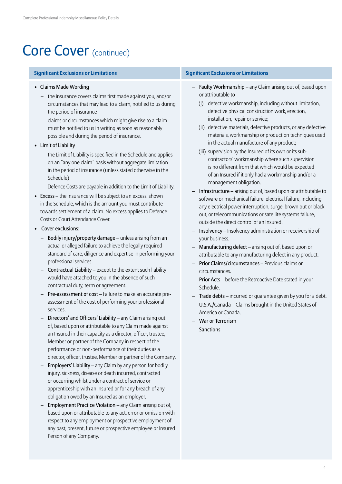## Core Cover (continued)

## **Significant Exclusions or Limitations Significant Exclusions or Limitations**

- Claims Made Wording
	- the insurance covers claims first made against you, and/or circumstances that may lead to a claim, notified to us during the period of insurance
	- claims or circumstances which might give rise to a claim must be notified to us in writing as soon as reasonably possible and during the period of insurance.
- Limit of Liability
	- the Limit of Liability is specified in the Schedule and applies on an "any one claim" basis without aggregate limitation in the period of insurance (unless stated otherwise in the Schedule)
	- Defence Costs are payable in addition to the Limit of Liability.
- Excess the insurance will be subject to an excess, shown in the Schedule, which is the amount you must contribute towards settlement of a claim. No excess applies to Defence Costs or Court Attendance Cover.
- Cover exclusions:
	- Bodily injury/property damage unless arising from an actual or alleged failure to achieve the legally required standard of care, diligence and expertise in performing your professional services.
	- Contractual Liability except to the extent such liability would have attached to you in the absence of such contractual duty, term or agreement.
	- Pre-assessment of cost Failure to make an accurate preassessment of the cost of performing your professional services.
	- Directors' and Officers' Liability any Claim arising out of, based upon or attributable to any Claim made against an Insured in their capacity as a director, officer, trustee, Member or partner of the Company in respect of the performance or non-performance of their duties as a director, officer, trustee, Member or partner of the Company.
	- Employers' Liability any Claim by any person for bodily injury, sickness, disease or death incurred, contracted or occurring whilst under a contract of service or apprenticeship with an Insured or for any breach of any obligation owed by an Insured as an employer.
	- Employment Practice Violation any Claim arising out of, based upon or attributable to any act, error or omission with respect to any employment or prospective employment of any past, present, future or prospective employee or Insured Person of any Company.

- Faulty Workmanship any Claim arising out of, based upon or attributable to
	- (i) defective workmanship, including without limitation, defective physical construction work, erection, installation, repair or service;
	- (ii) defective materials, defective products, or any defective materials, workmanship or production techniques used in the actual manufacture of any product;
	- (iii) supervision by the Insured of its own or its subcontractors' workmanship where such supervision is no different from that which would be expected of an Insured if it only had a workmanship and/or a management obligation.
- Infrastructure arising out of, based upon or attributable to software or mechanical failure, electrical failure, including any electrical power interruption, surge, brown out or black out, or telecommunications or satellite systems failure, outside the direct control of an Insured.
- Insolvency Insolvency administration or receivership of your business.
- Manufacturing defect arising out of, based upon or attributable to any manufacturing defect in any product.
- Prior Claims/circumstances Previous claims or circumstances.
- Prior Acts before the Retroactive Date stated in your Schedule.
- Trade debts incurred or guarantee given by you for a debt.
- U.S.A./Canada Claims brought in the United States of America or Canada.
- War or Terrorism
- Sanctions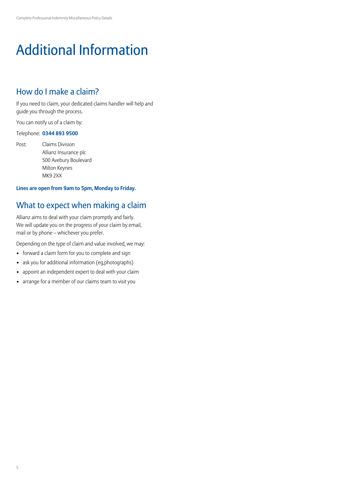# Additional Information

## How do I make a claim?

If you need to claim, your dedicated claims handler will help and guide you through the process.

You can notify us of a claim by:

## Telephone: **0344 893 9500**

Post: Claims Division Allianz Insurance plc 500 Avebury Boulevard Milton Keynes MK9 2XX

## **Lines are open from 9am to 5pm, Monday to Friday.**

## What to expect when making a claim

Allianz aims to deal with your claim promptly and fairly. We will update you on the progress of your claim by email, mail or by phone – whichever you prefer.

Depending on the type of claim and value involved, we may:

- forward a claim form for you to complete and sign
- ask you for additional information (eg,photographs)
- appoint an independent expert to deal with your claim
- arrange for a member of our claims team to visit you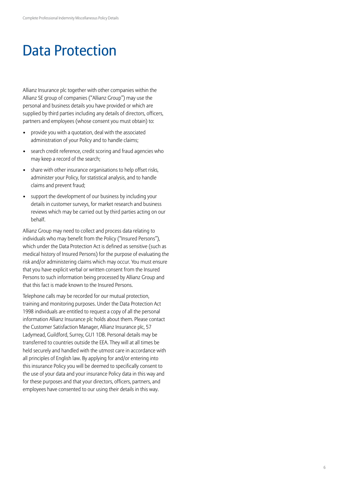## Data Protection

Allianz Insurance plc together with other companies within the Allianz SE group of companies ("Allianz Group") may use the personal and business details you have provided or which are supplied by third parties including any details of directors, officers, partners and employees (whose consent you must obtain) to:

- provide you with a quotation, deal with the associated administration of your Policy and to handle claims;
- search credit reference, credit scoring and fraud agencies who may keep a record of the search;
- share with other insurance organisations to help offset risks, administer your Policy, for statistical analysis, and to handle claims and prevent fraud;
- support the development of our business by including your details in customer surveys, for market research and business reviews which may be carried out by third parties acting on our behalf.

Allianz Group may need to collect and process data relating to individuals who may benefit from the Policy ("Insured Persons"), which under the Data Protection Act is defined as sensitive (such as medical history of Insured Persons) for the purpose of evaluating the risk and/or administering claims which may occur. You must ensure that you have explicit verbal or written consent from the Insured Persons to such information being processed by Allianz Group and that this fact is made known to the Insured Persons.

Telephone calls may be recorded for our mutual protection, training and monitoring purposes. Under the Data Protection Act 1998 individuals are entitled to request a copy of all the personal information Allianz Insurance plc holds about them. Please contact the Customer Satisfaction Manager, Allianz Insurance plc, 57 Ladymead, Guildford, Surrey, GU1 1DB. Personal details may be transferred to countries outside the EEA. They will at all times be held securely and handled with the utmost care in accordance with all principles of English law. By applying for and/or entering into this insurance Policy you will be deemed to specifically consent to the use of your data and your insurance Policy data in this way and for these purposes and that your directors, officers, partners, and employees have consented to our using their details in this way.